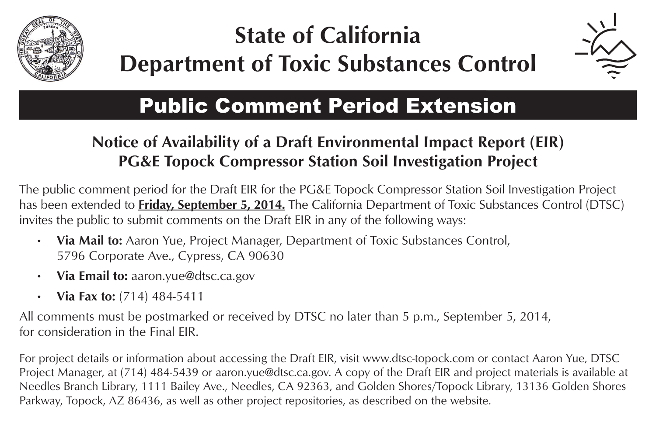

## **State of California Department of Toxic Substances Control**



## Public Comment Period Extension

## **Notice of Availability of a Draft Environmental Impact Report (EIR) PG&E Topock Compressor Station Soil Investigation Project**

The public comment period for the Draft EIR for the PG&E Topock Compressor Station Soil Investigation Project has been extended to **Friday, September 5, 2014.** The California Department of Toxic Substances Control (DTSC) invites the public to submit comments on the Draft EIR in any of the following ways:

- • **Via Mail to:** Aaron Yue, Project Manager, Department of Toxic Substances Control, 5796 Corporate Ave., Cypress, CA 90630
- • **Via Email to:** aaron.yue@dtsc.ca.gov
- • **Via Fax to:** (714) 484-5411

All comments must be postmarked or received by DTSC no later than 5 p.m., September 5, 2014, for consideration in the Final EIR.

For project details or information about accessing the Draft EIR, visit www.dtsc-topock.com or contact Aaron Yue, DTSC Project Manager, at (714) 484-5439 or aaron.yue@dtsc.ca.gov. A copy of the Draft EIR and project materials is available at Needles Branch Library, 1111 Bailey Ave., Needles, CA 92363, and Golden Shores/Topock Library, 13136 Golden Shores Parkway, Topock, AZ 86436, as well as other project repositories, as described on the website.